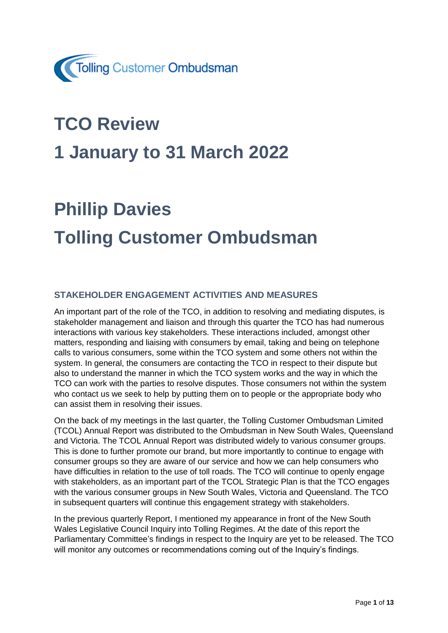

## **TCO Review**

## **1 January to 31 March 2022**

# **Phillip Davies Tolling Customer Ombudsman**

#### **STAKEHOLDER ENGAGEMENT ACTIVITIES AND MEASURES**

An important part of the role of the TCO, in addition to resolving and mediating disputes, is stakeholder management and liaison and through this quarter the TCO has had numerous interactions with various key stakeholders. These interactions included, amongst other matters, responding and liaising with consumers by email, taking and being on telephone calls to various consumers, some within the TCO system and some others not within the system. In general, the consumers are contacting the TCO in respect to their dispute but also to understand the manner in which the TCO system works and the way in which the TCO can work with the parties to resolve disputes. Those consumers not within the system who contact us we seek to help by putting them on to people or the appropriate body who can assist them in resolving their issues.

On the back of my meetings in the last quarter, the Tolling Customer Ombudsman Limited (TCOL) Annual Report was distributed to the Ombudsman in New South Wales, Queensland and Victoria. The TCOL Annual Report was distributed widely to various consumer groups. This is done to further promote our brand, but more importantly to continue to engage with consumer groups so they are aware of our service and how we can help consumers who have difficulties in relation to the use of toll roads. The TCO will continue to openly engage with stakeholders, as an important part of the TCOL Strategic Plan is that the TCO engages with the various consumer groups in New South Wales, Victoria and Queensland. The TCO in subsequent quarters will continue this engagement strategy with stakeholders.

In the previous quarterly Report, I mentioned my appearance in front of the New South Wales Legislative Council Inquiry into Tolling Regimes. At the date of this report the Parliamentary Committee's findings in respect to the Inquiry are yet to be released. The TCO will monitor any outcomes or recommendations coming out of the Inquiry's findings.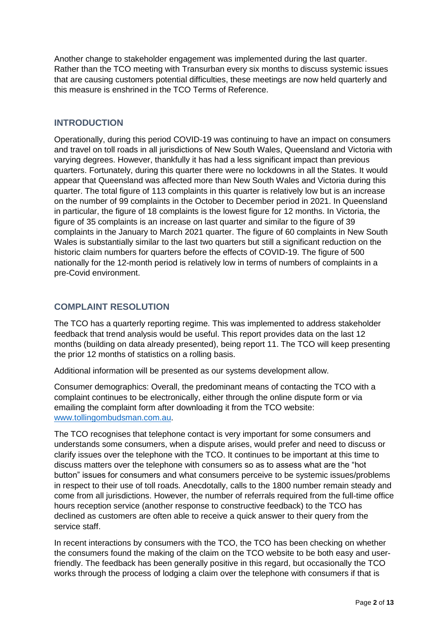Another change to stakeholder engagement was implemented during the last quarter. Rather than the TCO meeting with Transurban every six months to discuss systemic issues that are causing customers potential difficulties, these meetings are now held quarterly and this measure is enshrined in the TCO Terms of Reference.

#### **INTRODUCTION**

Operationally, during this period COVID-19 was continuing to have an impact on consumers and travel on toll roads in all jurisdictions of New South Wales, Queensland and Victoria with varying degrees. However, thankfully it has had a less significant impact than previous quarters. Fortunately, during this quarter there were no lockdowns in all the States. It would appear that Queensland was affected more than New South Wales and Victoria during this quarter. The total figure of 113 complaints in this quarter is relatively low but is an increase on the number of 99 complaints in the October to December period in 2021. In Queensland in particular, the figure of 18 complaints is the lowest figure for 12 months. In Victoria, the figure of 35 complaints is an increase on last quarter and similar to the figure of 39 complaints in the January to March 2021 quarter. The figure of 60 complaints in New South Wales is substantially similar to the last two quarters but still a significant reduction on the historic claim numbers for quarters before the effects of COVID-19. The figure of 500 nationally for the 12-month period is relatively low in terms of numbers of complaints in a pre-Covid environment.

#### **COMPLAINT RESOLUTION**

The TCO has a quarterly reporting regime. This was implemented to address stakeholder feedback that trend analysis would be useful. This report provides data on the last 12 months (building on data already presented), being report 11. The TCO will keep presenting the prior 12 months of statistics on a rolling basis.

Additional information will be presented as our systems development allow.

Consumer demographics: Overall, the predominant means of contacting the TCO with a complaint continues to be electronically, either through the online dispute form or via emailing the complaint form after downloading it from the TCO website: [www.tollingombudsman.com.au.](http://www.tollingombudsman.com.au/)

The TCO recognises that telephone contact is very important for some consumers and understands some consumers, when a dispute arises, would prefer and need to discuss or clarify issues over the telephone with the TCO. It continues to be important at this time to discuss matters over the telephone with consumers so as to assess what are the "hot button" issues for consumers and what consumers perceive to be systemic issues/problems in respect to their use of toll roads. Anecdotally, calls to the 1800 number remain steady and come from all jurisdictions. However, the number of referrals required from the full-time office hours reception service (another response to constructive feedback) to the TCO has declined as customers are often able to receive a quick answer to their query from the service staff.

In recent interactions by consumers with the TCO, the TCO has been checking on whether the consumers found the making of the claim on the TCO website to be both easy and userfriendly. The feedback has been generally positive in this regard, but occasionally the TCO works through the process of lodging a claim over the telephone with consumers if that is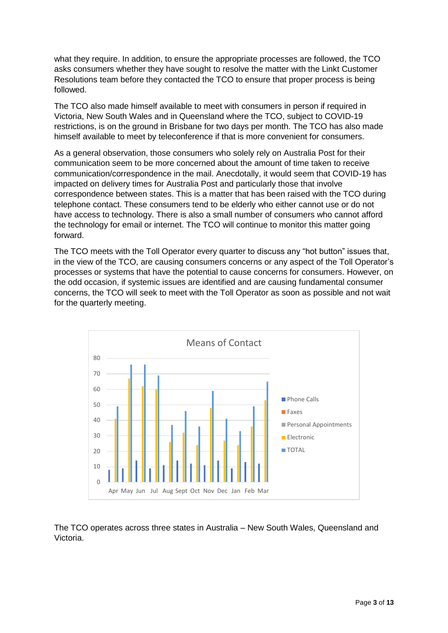what they require. In addition, to ensure the appropriate processes are followed, the TCO asks consumers whether they have sought to resolve the matter with the Linkt Customer Resolutions team before they contacted the TCO to ensure that proper process is being followed.

The TCO also made himself available to meet with consumers in person if required in Victoria, New South Wales and in Queensland where the TCO, subject to COVID-19 restrictions, is on the ground in Brisbane for two days per month. The TCO has also made himself available to meet by teleconference if that is more convenient for consumers.

As a general observation, those consumers who solely rely on Australia Post for their communication seem to be more concerned about the amount of time taken to receive communication/correspondence in the mail. Anecdotally, it would seem that COVID-19 has impacted on delivery times for Australia Post and particularly those that involve correspondence between states. This is a matter that has been raised with the TCO during telephone contact. These consumers tend to be elderly who either cannot use or do not have access to technology. There is also a small number of consumers who cannot afford the technology for email or internet. The TCO will continue to monitor this matter going forward.

The TCO meets with the Toll Operator every quarter to discuss any "hot button" issues that, in the view of the TCO, are causing consumers concerns or any aspect of the Toll Operator's processes or systems that have the potential to cause concerns for consumers. However, on the odd occasion, if systemic issues are identified and are causing fundamental consumer concerns, the TCO will seek to meet with the Toll Operator as soon as possible and not wait for the quarterly meeting.



The TCO operates across three states in Australia – New South Wales, Queensland and Victoria.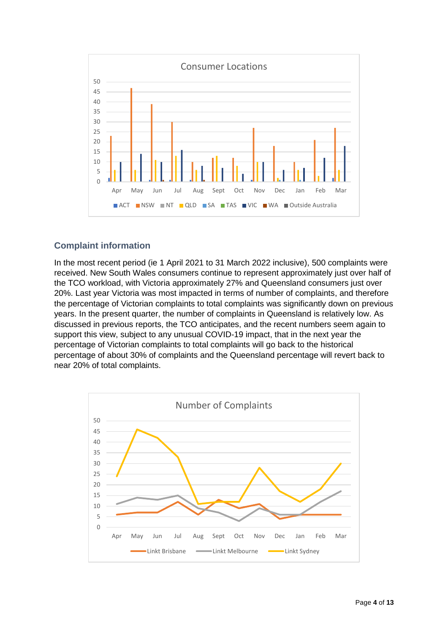

#### **Complaint information**

In the most recent period (ie 1 April 2021 to 31 March 2022 inclusive), 500 complaints were received. New South Wales consumers continue to represent approximately just over half of the TCO workload, with Victoria approximately 27% and Queensland consumers just over 20%. Last year Victoria was most impacted in terms of number of complaints, and therefore the percentage of Victorian complaints to total complaints was significantly down on previous years. In the present quarter, the number of complaints in Queensland is relatively low. As discussed in previous reports, the TCO anticipates, and the recent numbers seem again to support this view, subject to any unusual COVID-19 impact, that in the next year the percentage of Victorian complaints to total complaints will go back to the historical percentage of about 30% of complaints and the Queensland percentage will revert back to near 20% of total complaints.

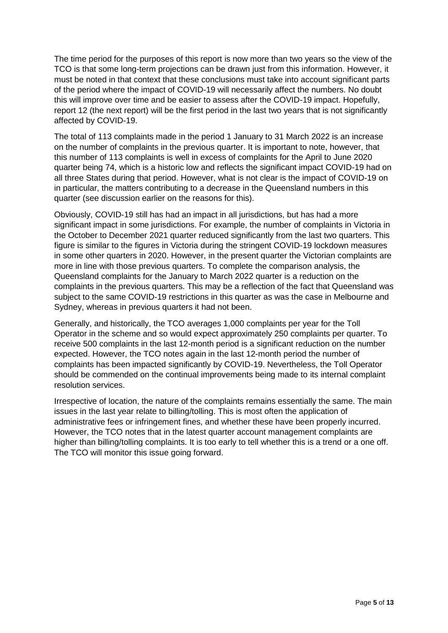The time period for the purposes of this report is now more than two years so the view of the TCO is that some long-term projections can be drawn just from this information. However, it must be noted in that context that these conclusions must take into account significant parts of the period where the impact of COVID-19 will necessarily affect the numbers. No doubt this will improve over time and be easier to assess after the COVID-19 impact. Hopefully, report 12 (the next report) will be the first period in the last two years that is not significantly affected by COVID-19.

The total of 113 complaints made in the period 1 January to 31 March 2022 is an increase on the number of complaints in the previous quarter. It is important to note, however, that this number of 113 complaints is well in excess of complaints for the April to June 2020 quarter being 74, which is a historic low and reflects the significant impact COVID-19 had on all three States during that period. However, what is not clear is the impact of COVID-19 on in particular, the matters contributing to a decrease in the Queensland numbers in this quarter (see discussion earlier on the reasons for this).

Obviously, COVID-19 still has had an impact in all jurisdictions, but has had a more significant impact in some jurisdictions. For example, the number of complaints in Victoria in the October to December 2021 quarter reduced significantly from the last two quarters. This figure is similar to the figures in Victoria during the stringent COVID-19 lockdown measures in some other quarters in 2020. However, in the present quarter the Victorian complaints are more in line with those previous quarters. To complete the comparison analysis, the Queensland complaints for the January to March 2022 quarter is a reduction on the complaints in the previous quarters. This may be a reflection of the fact that Queensland was subject to the same COVID-19 restrictions in this quarter as was the case in Melbourne and Sydney, whereas in previous quarters it had not been.

Generally, and historically, the TCO averages 1,000 complaints per year for the Toll Operator in the scheme and so would expect approximately 250 complaints per quarter. To receive 500 complaints in the last 12-month period is a significant reduction on the number expected. However, the TCO notes again in the last 12-month period the number of complaints has been impacted significantly by COVID-19. Nevertheless, the Toll Operator should be commended on the continual improvements being made to its internal complaint resolution services.

Irrespective of location, the nature of the complaints remains essentially the same. The main issues in the last year relate to billing/tolling. This is most often the application of administrative fees or infringement fines, and whether these have been properly incurred. However, the TCO notes that in the latest quarter account management complaints are higher than billing/tolling complaints. It is too early to tell whether this is a trend or a one off. The TCO will monitor this issue going forward.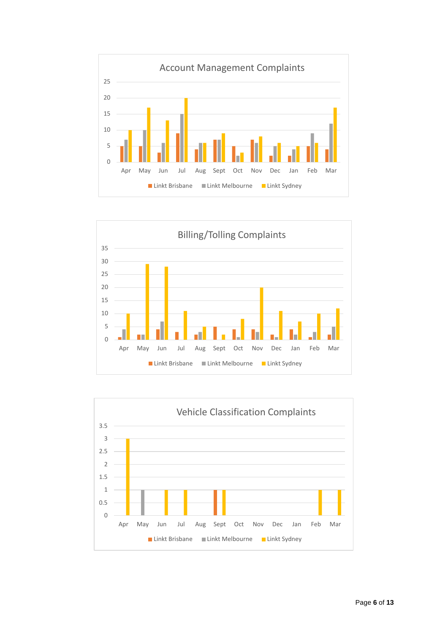



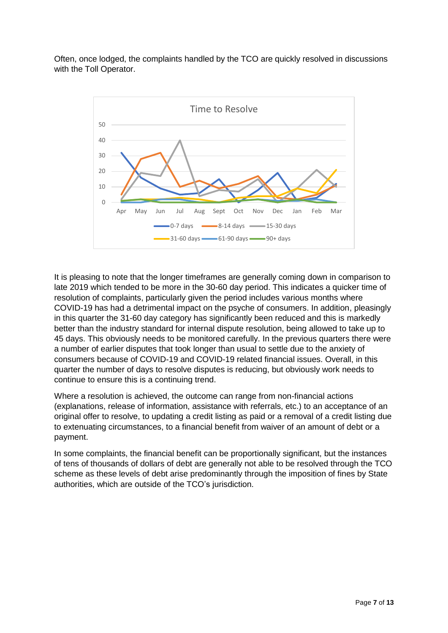Often, once lodged, the complaints handled by the TCO are quickly resolved in discussions with the Toll Operator.



It is pleasing to note that the longer timeframes are generally coming down in comparison to late 2019 which tended to be more in the 30-60 day period. This indicates a quicker time of resolution of complaints, particularly given the period includes various months where COVID-19 has had a detrimental impact on the psyche of consumers. In addition, pleasingly in this quarter the 31-60 day category has significantly been reduced and this is markedly better than the industry standard for internal dispute resolution, being allowed to take up to 45 days. This obviously needs to be monitored carefully. In the previous quarters there were a number of earlier disputes that took longer than usual to settle due to the anxiety of consumers because of COVID-19 and COVID-19 related financial issues. Overall, in this quarter the number of days to resolve disputes is reducing, but obviously work needs to continue to ensure this is a continuing trend.

Where a resolution is achieved, the outcome can range from non-financial actions (explanations, release of information, assistance with referrals, etc.) to an acceptance of an original offer to resolve, to updating a credit listing as paid or a removal of a credit listing due to extenuating circumstances, to a financial benefit from waiver of an amount of debt or a payment.

In some complaints, the financial benefit can be proportionally significant, but the instances of tens of thousands of dollars of debt are generally not able to be resolved through the TCO scheme as these levels of debt arise predominantly through the imposition of fines by State authorities, which are outside of the TCO's jurisdiction.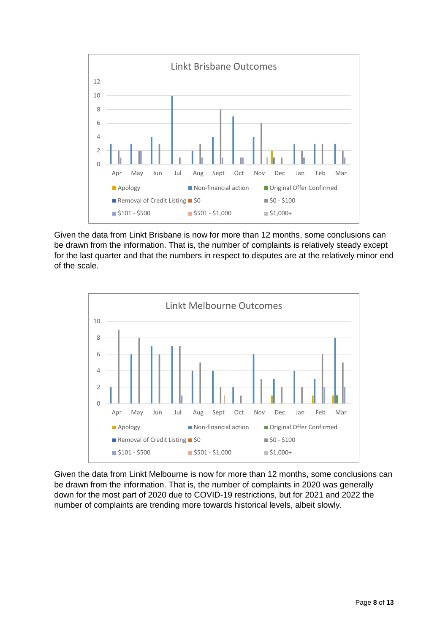

Given the data from Linkt Brisbane is now for more than 12 months, some conclusions can be drawn from the information. That is, the number of complaints is relatively steady except for the last quarter and that the numbers in respect to disputes are at the relatively minor end of the scale.



Given the data from Linkt Melbourne is now for more than 12 months, some conclusions can be drawn from the information. That is, the number of complaints in 2020 was generally down for the most part of 2020 due to COVID-19 restrictions, but for 2021 and 2022 the number of complaints are trending more towards historical levels, albeit slowly.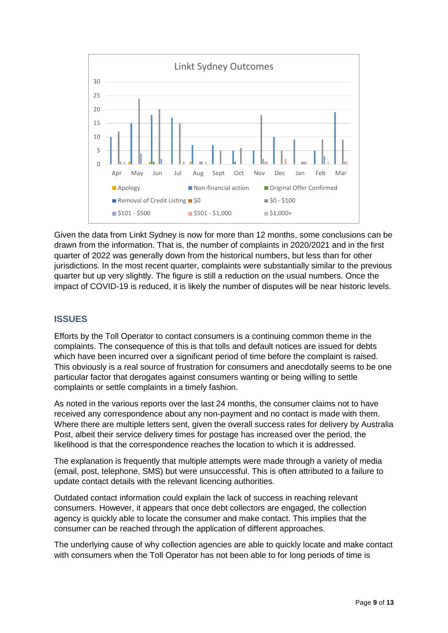

Given the data from Linkt Sydney is now for more than 12 months, some conclusions can be drawn from the information. That is, the number of complaints in 2020/2021 and in the first quarter of 2022 was generally down from the historical numbers, but less than for other jurisdictions. In the most recent quarter, complaints were substantially similar to the previous quarter but up very slightly. The figure is still a reduction on the usual numbers. Once the impact of COVID-19 is reduced, it is likely the number of disputes will be near historic levels.

#### **ISSUES**

Efforts by the Toll Operator to contact consumers is a continuing common theme in the complaints. The consequence of this is that tolls and default notices are issued for debts which have been incurred over a significant period of time before the complaint is raised. This obviously is a real source of frustration for consumers and anecdotally seems to be one particular factor that derogates against consumers wanting or being willing to settle complaints or settle complaints in a timely fashion.

As noted in the various reports over the last 24 months, the consumer claims not to have received any correspondence about any non-payment and no contact is made with them. Where there are multiple letters sent, given the overall success rates for delivery by Australia Post, albeit their service delivery times for postage has increased over the period, the likelihood is that the correspondence reaches the location to which it is addressed.

The explanation is frequently that multiple attempts were made through a variety of media (email, post, telephone, SMS) but were unsuccessful. This is often attributed to a failure to update contact details with the relevant licencing authorities.

Outdated contact information could explain the lack of success in reaching relevant consumers. However, it appears that once debt collectors are engaged, the collection agency is quickly able to locate the consumer and make contact. This implies that the consumer can be reached through the application of different approaches.

The underlying cause of why collection agencies are able to quickly locate and make contact with consumers when the Toll Operator has not been able to for long periods of time is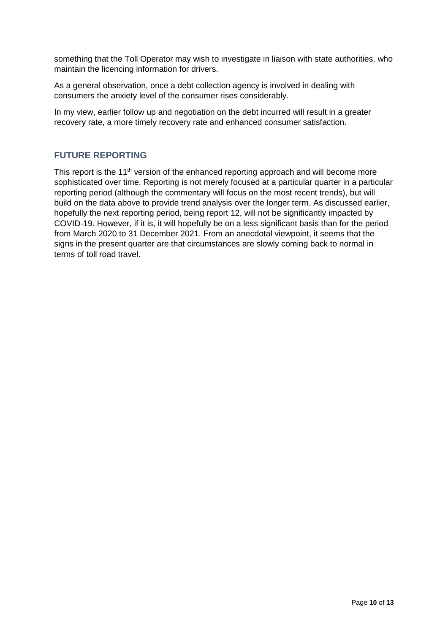something that the Toll Operator may wish to investigate in liaison with state authorities, who maintain the licencing information for drivers.

As a general observation, once a debt collection agency is involved in dealing with consumers the anxiety level of the consumer rises considerably.

In my view, earlier follow up and negotiation on the debt incurred will result in a greater recovery rate, a more timely recovery rate and enhanced consumer satisfaction.

#### **FUTURE REPORTING**

This report is the 11<sup>th</sup> version of the enhanced reporting approach and will become more sophisticated over time. Reporting is not merely focused at a particular quarter in a particular reporting period (although the commentary will focus on the most recent trends), but will build on the data above to provide trend analysis over the longer term. As discussed earlier, hopefully the next reporting period, being report 12, will not be significantly impacted by COVID-19. However, if it is, it will hopefully be on a less significant basis than for the period from March 2020 to 31 December 2021. From an anecdotal viewpoint, it seems that the signs in the present quarter are that circumstances are slowly coming back to normal in terms of toll road travel.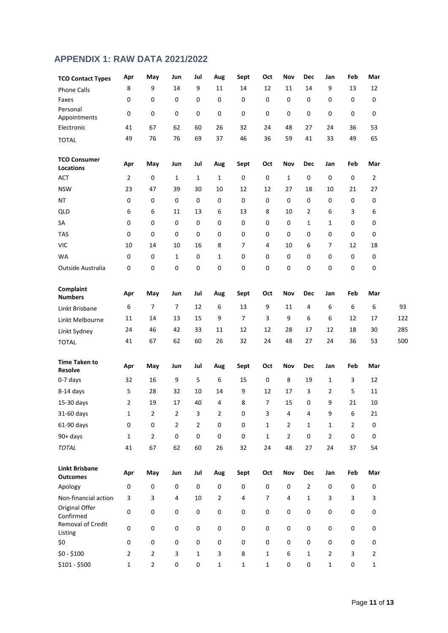### **APPENDIX 1: RAW DATA 2021/2022**

| <b>TCO Contact Types</b>                 | Apr            | May       | Jun            | Jul         | Aug            | Sept        | Oct            | Nov            | <b>Dec</b>     | Jan            | Feb       | Mar            |            |
|------------------------------------------|----------------|-----------|----------------|-------------|----------------|-------------|----------------|----------------|----------------|----------------|-----------|----------------|------------|
| <b>Phone Calls</b>                       | 8              | 9         | 14             | 9           | 11             | 14          | 12             | 11             | 14             | 9              | 13        | 12             |            |
| Faxes                                    | 0              | 0         | 0              | 0           | 0              | 0           | 0              | 0              | 0              | 0              | 0         | 0              |            |
| Personal<br>Appointments                 | 0              | 0         | 0              | 0           | 0              | 0           | 0              | 0              | $\mathsf 0$    | 0              | 0         | 0              |            |
| Electronic                               | 41             | 67        | 62             | 60          | 26             | 32          | 24             | 48             | 27             | 24             | 36        | 53             |            |
| <b>TOTAL</b>                             | 49             | 76        | 76             | 69          | 37             | 46          | 36             | 59             | 41             | 33             | 49        | 65             |            |
| <b>TCO Consumer</b><br>Locations         | Apr            | May       | Jun            | Jul         | Aug            | Sept        | Oct            | Nov            | Dec            | Jan            | Feb       | Mar            |            |
| <b>ACT</b>                               | $\overline{2}$ | 0         | $1\,$          | 1           | $\mathbf{1}$   | $\mathbf 0$ | 0              | $\mathbf{1}$   | $\mathsf 0$    | $\mathsf 0$    | 0         | $\overline{2}$ |            |
| <b>NSW</b>                               | 23             | 47        | 39             | 30          | 10             | 12          | 12             | 27             | 18             | 10             | 21        | 27             |            |
| NT                                       | 0              | 0         | 0              | 0           | 0              | $\mathbf 0$ | 0              | 0              | $\mathsf 0$    | 0              | 0         | 0              |            |
| <b>QLD</b>                               | 6              | 6         | 11             | 13          | 6              | 13          | 8              | 10             | 2              | 6              | 3         | 6              |            |
| SA                                       | $\mathsf 0$    | 0         | 0              | 0           | 0              | 0           | 0              | 0              | 1              | 1              | 0         | 0              |            |
| <b>TAS</b>                               | 0              | 0         | 0              | 0           | 0              | 0           | 0              | 0              | 0              | $\mathsf 0$    | 0         | 0              |            |
| <b>VIC</b>                               | 10             | 14        | 10             | 16          | 8              | 7           | 4              | 10             | 6              | $\overline{7}$ | 12        | 18             |            |
| <b>WA</b>                                | 0              | $\pmb{0}$ | $\mathbf{1}$   | 0           | 1              | 0           | 0              | 0              | $\mathsf 0$    | $\mathsf 0$    | 0         | 0              |            |
| Outside Australia                        | 0              | 0         | 0              | 0           | 0              | 0           | 0              | $\pmb{0}$      | $\mathsf 0$    | $\mathsf 0$    | 0         | 0              |            |
| Complaint<br><b>Numbers</b>              | Apr            | May       | Jun            | Jul         | Aug            | Sept        | Oct            | Nov            | <b>Dec</b>     | Jan            | Feb       | Mar            |            |
| Linkt Brisbane                           | 6              | 7         | $\overline{7}$ | 12          | 6              | 13          | 9              | 11             | $\overline{4}$ | 6              | 6         | 6              | 93         |
| Linkt Melbourne                          | 11             | 14        | 13             | 15          | 9              | 7           | 3              | 9              | 6              | 6              | 12        | 17             | 122        |
| Linkt Sydney                             | 24             | 46        | 42             | 33          | 11             | 12          | 12             | 28             | 17             | 12             | 18        | 30             | 285        |
| <b>TOTAL</b>                             | 41             | 67        | 62             | 60          | 26             | 32          | 24             | 48             | 27             | 24             | 36        | 53             | <b>500</b> |
| <b>Time Taken to</b><br>Resolve          | Apr            | May       | Jun            | Jul         | Aug            | Sept        | Oct            | Nov            | Dec            | Jan            | Feb       | Mar            |            |
| 0-7 days                                 | 32             | 16        | 9              | 5           | 6              | 15          | 0              | 8              | 19             | 1              | 3         | 12             |            |
| 8-14 days                                | 5              | 28        | 32             | 10          | 14             | 9           | 12             | 17             | 3              | $\overline{2}$ | 5         | 11             |            |
| 15-30 days                               | 2              | 19        | 17             | 40          | 4              | 8           | $\overline{7}$ | 15             | 0              | 9              | 21        | 10             |            |
| 31-60 days                               | $\mathbf 1$    | 2         | $\mathbf 2$    | 3           | $\overline{2}$ | $\pmb{0}$   | 3              | $\overline{4}$ | $\overline{4}$ | 9              | 6         | 21             |            |
| 61-90 days                               | $\mathsf 0$    | 0         | $\overline{2}$ | 2           | $\pmb{0}$      | 0           | $\mathbf 1$    | $\overline{2}$ | 1              | $\mathbf 1$    | 2         | $\mathbf 0$    |            |
| 90+ days                                 | $\mathbf{1}$   | 2         | $\pmb{0}$      | $\pmb{0}$   | $\pmb{0}$      | $\mathbf 0$ | $\mathbf 1$    | $\overline{2}$ | $\pmb{0}$      | $\mathbf 2$    | $\pmb{0}$ | 0              |            |
| <b>TOTAL</b>                             | 41             | 67        | 62             | 60          | 26             | 32          | 24             | 48             | 27             | 24             | 37        | 54             |            |
| <b>Linkt Brisbane</b><br><b>Outcomes</b> | Apr            | May       | Jun            | Jul         | Aug            | Sept        | Oct            | Nov            | Dec            | Jan            | Feb       | Mar            |            |
| Apology                                  | 0              | $\pmb{0}$ | $\pmb{0}$      | $\pmb{0}$   | $\pmb{0}$      | $\pmb{0}$   | $\pmb{0}$      | 0              | $\mathbf 2$    | 0              | 0         | 0              |            |
| Non-financial action                     | 3              | 3         | 4              | 10          | $\overline{2}$ | 4           | $\overline{7}$ | $\overline{4}$ | $\mathbf{1}$   | 3              | 3         | 3              |            |
| Original Offer<br>Confirmed              | $\pmb{0}$      | $\pmb{0}$ | $\mathsf 0$    | 0           | $\pmb{0}$      | 0           | $\pmb{0}$      | 0              | 0              | 0              | 0         | 0              |            |
| Removal of Credit<br>Listing             | $\mathbf 0$    | $\pmb{0}$ | $\pmb{0}$      | 0           | $\mathbf 0$    | 0           | 0              | 0              | 0              | 0              | $\pmb{0}$ | 0              |            |
| \$0                                      | $\pmb{0}$      | 0         | 0              | 0           | $\pmb{0}$      | 0           | 0              | 0              | $\mathsf 0$    | $\pmb{0}$      | 0         | 0              |            |
| $$0 - $100$                              | $\overline{2}$ | 2         | 3              | $\mathbf 1$ | 3              | 8           | $\mathbf{1}$   | 6              | $\mathbf{1}$   | $\overline{2}$ | 3         | $\overline{2}$ |            |
| $$101 - $500$                            | 1              | 2         | 0              | $\pmb{0}$   | $\mathbf{1}$   | $\mathbf 1$ | $\mathbf 1$    | 0              | 0              | $\mathbf 1$    | 0         | 1              |            |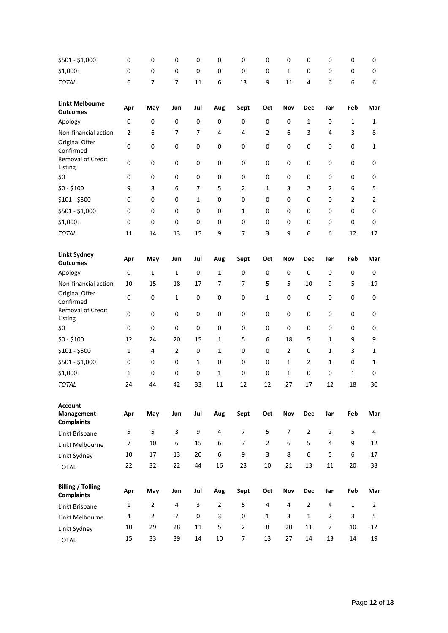| \$501 - \$1,000                                   | 0              | 0              | 0              | 0         | 0              | 0              | 0              | 0              | 0              | 0              | 0              | 0              |
|---------------------------------------------------|----------------|----------------|----------------|-----------|----------------|----------------|----------------|----------------|----------------|----------------|----------------|----------------|
| $$1,000+$                                         | 0              | 0              | 0              | 0         | 0              | 0              | 0              | $\mathbf{1}$   | 0              | 0              | 0              | 0              |
| <b>TOTAL</b>                                      | 6              | 7              | 7              | 11        | 6              | 13             | 9              | 11             | 4              | 6              | 6              | 6              |
| <b>Linkt Melbourne</b><br><b>Outcomes</b>         | Apr            | May            | Jun            | Jul       | Aug            | Sept           | Oct            | Nov            | <b>Dec</b>     | Jan            | Feb            | Mar            |
| Apology                                           | 0              | 0              | 0              | 0         | 0              | 0              | 0              | 0              | $\mathbf{1}$   | 0              | 1              | 1              |
| Non-financial action                              | $\overline{2}$ | 6              | 7              | 7         | 4              | 4              | 2              | 6              | 3              | 4              | 3              | 8              |
| Original Offer<br>Confirmed                       | $\pmb{0}$      | $\pmb{0}$      | 0              | 0         | 0              | 0              | 0              | 0              | 0              | 0              | 0              | 1              |
| Removal of Credit<br>Listing                      | 0              | 0              | 0              | $\pmb{0}$ | 0              | 0              | $\pmb{0}$      | 0              | 0              | $\mathsf 0$    | 0              | 0              |
| \$0                                               | 0              | 0              | 0              | 0         | 0              | 0              | 0              | 0              | 0              | 0              | 0              | 0              |
| $$0 - $100$                                       | 9              | 8              | 6              | 7         | 5              | 2              | 1              | 3              | 2              | $\overline{2}$ | 6              | 5              |
| $$101 - $500$                                     | 0              | 0              | 0              | 1         | 0              | 0              | 0              | 0              | 0              | 0              | $\overline{2}$ | $\overline{2}$ |
| $$501 - $1,000$                                   | 0              | 0              | 0              | 0         | 0              | 1              | 0              | 0              | 0              | 0              | 0              | 0              |
| $$1,000+$                                         | 0              | 0              | 0              | 0         | 0              | 0              | 0              | 0              | 0              | 0              | 0              | 0              |
| <b>TOTAL</b>                                      | 11             | 14             | 13             | 15        | 9              | $\overline{7}$ | 3              | 9              | 6              | 6              | 12             | 17             |
| <b>Linkt Sydney</b><br><b>Outcomes</b>            | Apr            | May            | Jun            | Jul       | Aug            | Sept           | Oct            | Nov            | <b>Dec</b>     | Jan            | Feb            | Mar            |
| Apology                                           | 0              | 1              | $\mathbf{1}$   | $\pmb{0}$ | $\mathbf 1$    | 0              | 0              | 0              | 0              | $\mathsf 0$    | 0              | 0              |
| Non-financial action                              | 10             | 15             | 18             | 17        | 7              | 7              | 5              | 5              | 10             | 9              | 5              | 19             |
| Original Offer<br>Confirmed                       | $\pmb{0}$      | 0              | 1              | $\pmb{0}$ | 0              | 0              | 1              | 0              | 0              | $\mathsf 0$    | 0              | 0              |
| Removal of Credit<br>Listing                      | 0              | 0              | 0              | $\pmb{0}$ | 0              | 0              | $\pmb{0}$      | 0              | 0              | 0              | 0              | 0              |
| \$0                                               | 0              | 0              | 0              | 0         | 0              | 0              | 0              | 0              | 0              | 0              | 0              | 0              |
| $$0 - $100$                                       | 12             | 24             | 20             | 15        | $\mathbf{1}$   | 5              | 6              | 18             | 5              | 1              | 9              | 9              |
| $$101 - $500$                                     | 1              | 4              | 2              | 0         | $\mathbf{1}$   | 0              | 0              | $\overline{2}$ | 0              | 1              | 3              | 1              |
| \$501 - \$1,000                                   | 0              | 0              | 0              | 1         | 0              | 0              | 0              | $\mathbf{1}$   | 2              | 1              | 0              | 1              |
| $$1,000+$                                         | 1              | 0              | 0              | 0         | 1              | 0              | 0              | 1              | 0              | 0              | 1              | 0              |
| <b>TOTAL</b>                                      | 24             | 44             | 42             | 33        | 11             | 12             | 12             | 27             | 17             | 12             | 18             | 30             |
| <b>Account</b><br>Management<br><b>Complaints</b> | Apr            | May            | Jun            | Jul       | Aug            | Sept           | Oct            | Nov            | <b>Dec</b>     | Jan            | Feb            | Mar            |
| Linkt Brisbane                                    | 5              | 5              | 3              | 9         | 4              | $\overline{7}$ | 5              | $\overline{7}$ | $\overline{2}$ | $\overline{2}$ | 5              | 4              |
| Linkt Melbourne                                   | 7              | 10             | 6              | 15        | 6              | $\overline{7}$ | $\overline{2}$ | 6              | 5              | $\overline{4}$ | 9              | 12             |
| Linkt Sydney                                      | 10             | 17             | 13             | 20        | 6              | 9              | 3              | 8              | 6              | 5              | 6              | 17             |
| <b>TOTAL</b>                                      | 22             | 32             | 22             | 44        | 16             | 23             | 10             | 21             | 13             | 11             | 20             | 33             |
| <b>Billing / Tolling</b><br><b>Complaints</b>     | Apr            | May            | Jun            | Jul       | Aug            | Sept           | Oct            | Nov            | <b>Dec</b>     | Jan            | Feb            | Mar            |
| Linkt Brisbane                                    | 1              | $\overline{2}$ | 4              | 3         | $\overline{2}$ | 5              | 4              | 4              | $\overline{2}$ | 4              | $\mathbf{1}$   | $\overline{2}$ |
| Linkt Melbourne                                   | 4              | $\overline{2}$ | $\overline{7}$ | 0         | 3              | $\mathbf 0$    | $\mathbf{1}$   | 3              | $\mathbf{1}$   | $\overline{2}$ | 3              | 5              |
| Linkt Sydney                                      | 10             | 29             | 28             | 11        | 5              | $\overline{2}$ | 8              | 20             | 11             | 7              | 10             | 12             |
| <b>TOTAL</b>                                      | 15             | 33             | 39             | 14        | 10             | $\overline{7}$ | 13             | 27             | 14             | 13             | 14             | 19             |